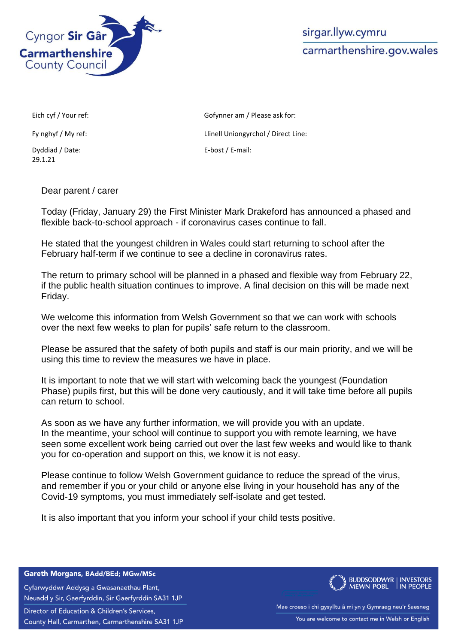

sirgar.llyw.cymru carmarthenshire.gov.wales

Dyddiad / Date: 29.1.21

Eich cyf / Your ref: Gofynner am / Please ask for: Fy nghyf / My ref: Compared the Llinell Uniongyrchol / Direct Line: E-bost / E-mail:

Dear parent / carer

Today (Friday, January 29) the First Minister Mark Drakeford has announced a phased and flexible back-to-school approach - if coronavirus cases continue to fall.

He stated that the youngest children in Wales could start returning to school after the February half-term if we continue to see a decline in coronavirus rates.

The return to primary school will be planned in a phased and flexible way from February 22, if the public health situation continues to improve. A final decision on this will be made next Friday.

We welcome this information from Welsh Government so that we can work with schools over the next few weeks to plan for pupils' safe return to the classroom.

Please be assured that the safety of both pupils and staff is our main priority, and we will be using this time to review the measures we have in place.

It is important to note that we will start with welcoming back the youngest (Foundation Phase) pupils first, but this will be done very cautiously, and it will take time before all pupils can return to school.

As soon as we have any further information, we will provide you with an update. In the meantime, your school will continue to support you with remote learning, we have seen some excellent work being carried out over the last few weeks and would like to thank you for co-operation and support on this, we know it is not easy.

Please continue to follow Welsh Government guidance to reduce the spread of the virus, and remember if you or your child or anyone else living in your household has any of the Covid-19 symptoms, you must immediately self-isolate and get tested.

It is also important that you inform your school if your child tests positive.

Gareth Morgans, BAdd/BEd; MGw/MSc

Cyfarwyddwr Addysg a Gwasanaethau Plant, Neuadd y Sir, Gaerfyrddin, Sir Gaerfyrddin SA31 1JP

Director of Education & Children's Services,

County Hall, Carmarthen, Carmarthenshire SA31 1JP



Mae croeso i chi gysylltu â mi yn y Gymraeg neu'r Saesneg You are welcome to contact me in Welsh or English